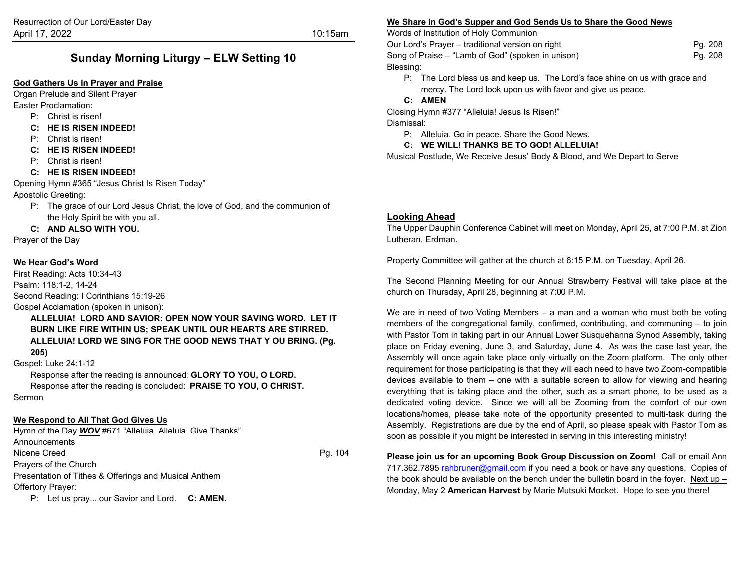# **Sunday Morning Liturgy – ELW Setting 10**

#### **God Gathers Us in Prayer and Praise**

Organ Prelude and Silent Prayer Easter Proclamation:

- P: Christ is risen!
- **C: HE IS RISEN INDEED!**
- P: Christ is risen!
- **C: HE IS RISEN INDEED!**
- P: Christ is risen!
- **C: HE IS RISEN INDEED!**

Opening Hymn #365 "Jesus Christ Is Risen Today"

Apostolic Greeting:

- P: The grace of our Lord Jesus Christ, the love of God, and the communion of the Holy Spirit be with you all.
- **C: AND ALSO WITH YOU.**

Prayer of the Day

#### **We Hear God's Word**

First Reading: Acts 10:34-43 Psalm: 118:1-2, 14-24 Second Reading: I Corinthians 15:19-26 Gospel Acclamation (spoken in unison):

**ALLELUIA! LORD AND SAVIOR: OPEN NOW YOUR SAVING WORD. LET IT BURN LIKE FIRE WITHIN US; SPEAK UNTIL OUR HEARTS ARE STIRRED. ALLELUIA! LORD WE SING FOR THE GOOD NEWS THAT Y OU BRING. (Pg.** 

**205)**

Gospel: Luke 24:1-12

Response after the reading is announced: **GLORY TO YOU, O LORD.** Response after the reading is concluded: **PRAISE TO YOU, O CHRIST.** Sermon

#### **We Respond to All That God Gives Us**

Hymn of the Day *WOV* #671 "Alleluia, Alleluia, Give Thanks" Announcements Nicene Creed Pg. 104 Prayers of the Church Presentation of Tithes & Offerings and Musical Anthem Offertory Prayer:

P: Let us pray... our Savior and Lord. **C: AMEN.**

#### **We Share in God's Supper and God Sends Us to Share the Good News**

Words of Institution of Holy Communion

Our Lord's Prayer – traditional version on right Pg. 208 Song of Praise – "Lamb of God" (spoken in unison) example the example of Praise Pg. 208 Blessing:

P: The Lord bless us and keep us. The Lord's face shine on us with grace and mercy. The Lord look upon us with favor and give us peace.

#### **C: AMEN**

Closing Hymn #377 "Alleluia! Jesus Is Risen!" Dismissal:

P: Alleluia. Go in peace. Share the Good News.

#### **C: WE WILL! THANKS BE TO GOD! ALLELUIA!**

Musical Postlude, We Receive Jesus' Body & Blood, and We Depart to Serve

#### **Looking Ahead**

The Upper Dauphin Conference Cabinet will meet on Monday, April 25, at 7:00 P.M. at Zion Lutheran, Erdman.

Property Committee will gather at the church at 6:15 P.M. on Tuesday, April 26.

The Second Planning Meeting for our Annual Strawberry Festival will take place at the church on Thursday, April 28, beginning at 7:00 P.M.

We are in need of two Voting Members – a man and a woman who must both be voting members of the congregational family, confirmed, contributing, and communing – to join with Pastor Tom in taking part in our Annual Lower Susquehanna Synod Assembly, taking place on Friday evening, June 3, and Saturday, June 4. As was the case last year, the Assembly will once again take place only virtually on the Zoom platform. The only other requirement for those participating is that they will each need to have two Zoom-compatible devices available to them – one with a suitable screen to allow for viewing and hearing everything that is taking place and the other, such as a smart phone, to be used as a dedicated voting device. Since we will all be Zooming from the comfort of our own locations/homes, please take note of the opportunity presented to multi-task during the Assembly. Registrations are due by the end of April, so please speak with Pastor Tom as soon as possible if you might be interested in serving in this interesting ministry!

**Please join us for an upcoming Book Group Discussion on Zoom!** Call or email Ann 717.362.789[5 rahbruner@gmail.com](mailto:rahbruner@gmail.com) if you need a book or have any questions. Copies of the book should be available on the bench under the bulletin board in the foyer. Next up – Monday, May 2 **American Harvest** by Marie Mutsuki Mocket. Hope to see you there!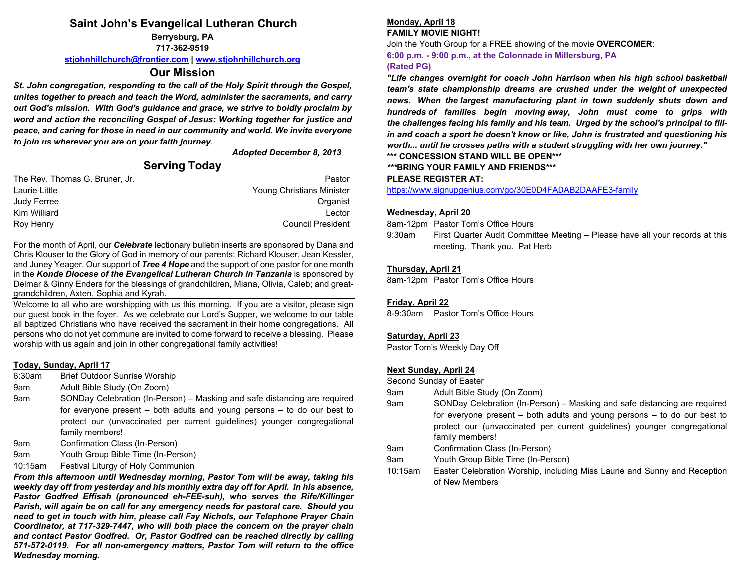## **Saint John's Evangelical Lutheran Church**

**Berrysburg, PA 717-362-9519**

**[stjohnhillchurch@frontier.com](mailto:stjohnhillchurch@frontier.com) | [www.stjohnhillchurch.org](http://www.stjohnhillchurch.org/)**

### **Our Mission**

*St. John congregation, responding to the call of the Holy Spirit through the Gospel, unites together to preach and teach the Word, administer the sacraments, and carry out God's mission. With God's guidance and grace, we strive to boldly proclaim by word and action the reconciling Gospel of Jesus: Working together for justice and peace, and caring for those in need in our community and world. We invite everyone to join us wherever you are on your faith journey.*

#### *Adopted December 8, 2013*

# **Serving Today**

| The Rev. Thomas G. Bruner, Jr. | Pastor                    |
|--------------------------------|---------------------------|
| Laurie Little                  | Young Christians Minister |
| Judy Ferree                    | Organist                  |
| Kim Williard                   | Lector                    |
| Roy Henry                      | <b>Council President</b>  |

For the month of April, our *Celebrate* lectionary bulletin inserts are sponsored by Dana and Chris Klouser to the Glory of God in memory of our parents: Richard Klouser, Jean Kessler, and Juney Yeager. Our support of *Tree 4 Hope* and the support of one pastor for one month in the *Konde Diocese of the Evangelical Lutheran Church in Tanzania* is sponsored by Delmar & Ginny Enders for the blessings of grandchildren, Miana, Olivia, Caleb; and greatgrandchildren, Axten, Sophia and Kyrah.

Welcome to all who are worshipping with us this morning. If you are a visitor, please sign our guest book in the foyer. As we celebrate our Lord's Supper, we welcome to our table all baptized Christians who have received the sacrament in their home congregations. All persons who do not yet commune are invited to come forward to receive a blessing. Please worship with us again and join in other congregational family activities!

#### **Today, Sunday, April 17**

- 6:30am Brief Outdoor Sunrise Worship
- 9am Adult Bible Study (On Zoom)
- 9am SONDay Celebration (In-Person) Masking and safe distancing are required for everyone present – both adults and young persons – to do our best to protect our (unvaccinated per current guidelines) younger congregational family members!
- 9am Confirmation Class (In-Person)
- 9am Youth Group Bible Time (In-Person)
- 10:15am Festival Liturgy of Holy Communion

*From this afternoon until Wednesday morning, Pastor Tom will be away, taking his weekly day off from yesterday and his monthly extra day off for April. In his absence, Pastor Godfred Effisah (pronounced eh-FEE-suh), who serves the Rife/Killinger Parish, will again be on call for any emergency needs for pastoral care. Should you need to get in touch with him, please call Fay Nichols, our Telephone Prayer Chain Coordinator, at 717-329-7447, who will both place the concern on the prayer chain and contact Pastor Godfred. Or, Pastor Godfred can be reached directly by calling 571-572-0119. For all non-emergency matters, Pastor Tom will return to the office Wednesday morning.*

# **Monday, April 18**

# **FAMILY MOVIE NIGHT!**

Join the Youth Group for a FREE showing of the movie **OVERCOMER**: **6:00 p.m. - 9:00 p.m., at the Colonnade in Millersburg, PA (Rated PG)**

*"Life changes overnight for coach John Harrison when his high school basketball team's state championship dreams are crushed under the weight of unexpected news. When the largest manufacturing plant in town suddenly shuts down and hundreds of families begin moving away, John must come to grips with the challenges facing his family and his team. Urged by the school's principal to fillin and coach a sport he doesn't know or like, John is frustrated and questioning his worth... until he crosses paths with a student struggling with her own journey."*

**\*\*\* CONCESSION STAND WILL BE OPEN\*\*\***

*\*\*\****BRING YOUR FAMILY AND FRIENDS\*\*\***

#### **PLEASE REGISTER AT:**

<https://www.signupgenius.com/go/30E0D4FADAB2DAAFE3-family>

#### **Wednesday, April 20**

8am-12pm Pastor Tom's Office Hours

9:30am First Quarter Audit Committee Meeting – Please have all your records at this meeting. Thank you. Pat Herb

#### **Thursday, April 21**

8am-12pm Pastor Tom's Office Hours

#### **Friday, April 22**

8-9:30am Pastor Tom's Office Hours

#### **Saturday, April 23**

Pastor Tom's Weekly Day Off

#### **Next Sunday, April 24**

Second Sunday of Easter

- 9am Adult Bible Study (On Zoom)
- 9am SONDay Celebration (In-Person) Masking and safe distancing are required for everyone present – both adults and young persons – to do our best to protect our (unvaccinated per current guidelines) younger congregational family members!
- 9am Confirmation Class (In-Person)
- 9am Youth Group Bible Time (In-Person)
- 10:15am Easter Celebration Worship, including Miss Laurie and Sunny and Reception of New Members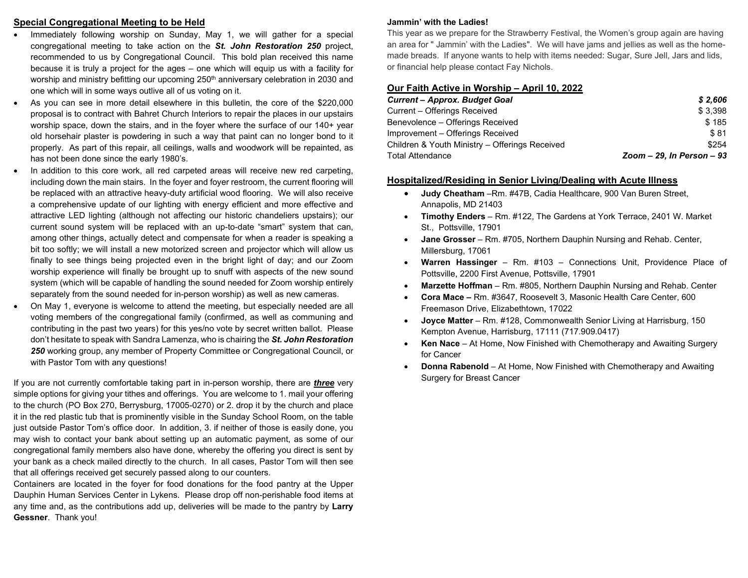#### **Special Congregational Meeting to be Held**

- Immediately following worship on Sunday, May 1, we will gather for a special congregational meeting to take action on the *St. John Restoration 250* project, recommended to us by Congregational Council. This bold plan received this name because it is truly a project for the ages – one which will equip us with a facility for worship and ministry befitting our upcoming 250<sup>th</sup> anniversary celebration in 2030 and one which will in some ways outlive all of us voting on it.
- As you can see in more detail elsewhere in this bulletin, the core of the \$220,000 proposal is to contract with Bahret Church Interiors to repair the places in our upstairs worship space, down the stairs, and in the foyer where the surface of our 140+ year old horsehair plaster is powdering in such a way that paint can no longer bond to it properly. As part of this repair, all ceilings, walls and woodwork will be repainted, as has not been done since the early 1980's.
- In addition to this core work, all red carpeted areas will receive new red carpeting, including down the main stairs. In the foyer and foyer restroom, the current flooring will be replaced with an attractive heavy-duty artificial wood flooring. We will also receive a comprehensive update of our lighting with energy efficient and more effective and attractive LED lighting (although not affecting our historic chandeliers upstairs); our current sound system will be replaced with an up-to-date "smart" system that can, among other things, actually detect and compensate for when a reader is speaking a bit too softly; we will install a new motorized screen and projector which will allow us finally to see things being projected even in the bright light of day; and our Zoom worship experience will finally be brought up to snuff with aspects of the new sound system (which will be capable of handling the sound needed for Zoom worship entirely separately from the sound needed for in-person worship) as well as new cameras.
- On May 1, everyone is welcome to attend the meeting, but especially needed are all voting members of the congregational family (confirmed, as well as communing and contributing in the past two years) for this yes/no vote by secret written ballot. Please don't hesitate to speak with Sandra Lamenza, who is chairing the *St. John Restoration 250* working group, any member of Property Committee or Congregational Council, or with Pastor Tom with any questions!

If you are not currently comfortable taking part in in-person worship, there are *three* very simple options for giving your tithes and offerings. You are welcome to 1. mail your offering to the church (PO Box 270, Berrysburg, 17005-0270) or 2. drop it by the church and place it in the red plastic tub that is prominently visible in the Sunday School Room, on the table just outside Pastor Tom's office door. In addition, 3. if neither of those is easily done, you may wish to contact your bank about setting up an automatic payment, as some of our congregational family members also have done, whereby the offering you direct is sent by your bank as a check mailed directly to the church. In all cases, Pastor Tom will then see that all offerings received get securely passed along to our counters.

Containers are located in the foyer for food donations for the food pantry at the Upper Dauphin Human Services Center in Lykens. Please drop off non-perishable food items at any time and, as the contributions add up, deliveries will be made to the pantry by **Larry Gessner**. Thank you!

#### **Jammin' with the Ladies!**

This year as we prepare for the Strawberry Festival, the Women's group again are having an area for " Jammin' with the Ladies". We will have jams and jellies as well as the homemade breads. If anyone wants to help with items needed: Sugar, Sure Jell, Jars and lids, or financial help please contact Fay Nichols.

### **Our Faith Active in Worship – April 10, 2022**

| <b>Current - Approx. Budget Goal</b>           | \$2.606                      |
|------------------------------------------------|------------------------------|
| Current - Offerings Received                   | \$3.398                      |
| Benevolence - Offerings Received               | \$185                        |
| Improvement – Offerings Received               | \$81                         |
| Children & Youth Ministry - Offerings Received | \$254                        |
| <b>Total Attendance</b>                        | Zoom $-29$ , In Person $-93$ |

### **Hospitalized/Residing in Senior Living/Dealing with Acute Illness**

- **Judy Cheatham** –Rm. #47B, Cadia Healthcare, 900 Van Buren Street, Annapolis, MD 21403
- **Timothy Enders**  Rm. #122, The Gardens at York Terrace, 2401 W. Market St., Pottsville, 17901
- **Jane Grosser**  Rm. #705, Northern Dauphin Nursing and Rehab. Center, Millersburg, 17061
- **Warren Hassinger** Rm. #103 Connections Unit, Providence Place of Pottsville, 2200 First Avenue, Pottsville, 17901
- **Marzette Hoffman**  Rm. #805, Northern Dauphin Nursing and Rehab. Center
- **Cora Mace –** Rm. #3647, Roosevelt 3, Masonic Health Care Center, 600 Freemason Drive, Elizabethtown, 17022
- **Joyce Matter**  Rm. #128, Commonwealth Senior Living at Harrisburg, 150 Kempton Avenue, Harrisburg, 17111 (717.909.0417)
- **Ken Nace**  At Home, Now Finished with Chemotherapy and Awaiting Surgery for Cancer
- **Donna Rabenold**  At Home, Now Finished with Chemotherapy and Awaiting Surgery for Breast Cancer